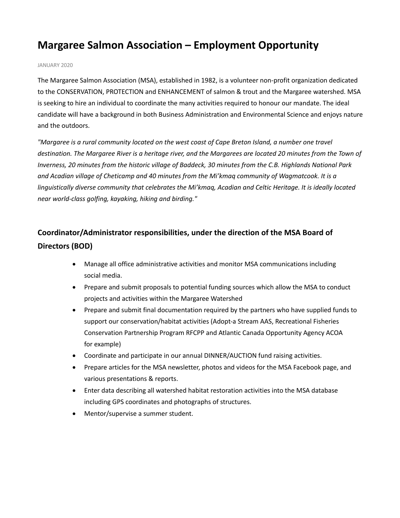# **Margaree Salmon Association – Employment Opportunity**

#### JANUARY 2020

The Margaree Salmon Association (MSA), established in 1982, is a volunteer non-profit organization dedicated to the CONSERVATION, PROTECTION and ENHANCEMENT of salmon & trout and the Margaree watershed. MSA is seeking to hire an individual to coordinate the many activities required to honour our mandate. The ideal candidate will have a background in both Business Administration and Environmental Science and enjoys nature and the outdoors.

*"Margaree is a rural community located on the west coast of Cape Breton Island, a number one travel destination. The Margaree River is a heritage river, and the Margarees are located 20 minutes from the Town of Inverness, 20 minutes from the historic village of Baddeck, 30 minutes from the C.B. Highlands National Park and Acadian village of Cheticamp and 40 minutes from the Mi'kmaq community of Wagmatcook. It is a linguistically diverse community that celebrates the Mi'kmaq, Acadian and Celtic Heritage. It is ideally located near world-class golfing, kayaking, hiking and birding."*

# **Coordinator/Administrator responsibilities, under the direction of the MSA Board of Directors (BOD)**

- Manage all office administrative activities and monitor MSA communications including social media.
- Prepare and submit proposals to potential funding sources which allow the MSA to conduct projects and activities within the Margaree Watershed
- Prepare and submit final documentation required by the partners who have supplied funds to support our conservation/habitat activities (Adopt-a Stream AAS, Recreational Fisheries Conservation Partnership Program RFCPP and Atlantic Canada Opportunity Agency ACOA for example)
- Coordinate and participate in our annual DINNER/AUCTION fund raising activities.
- Prepare articles for the MSA newsletter, photos and videos for the MSA Facebook page, and various presentations & reports.
- Enter data describing all watershed habitat restoration activities into the MSA database including GPS coordinates and photographs of structures.
- Mentor/supervise a summer student.